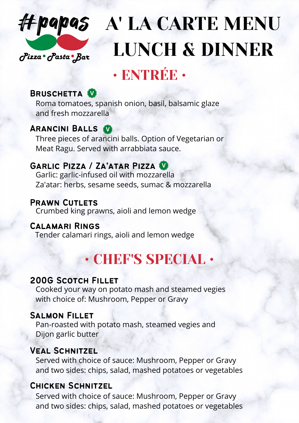

# A' LA CARTE MENU LUNCH & DINNER

## • ENTRÉE •

### BRUSCHETTA<sup>0</sup>

Roma tomatoes, spanish onion, basil, balsamic glaze and fresh mozzarella

### Arancini Balls **V**

Three pieces of arancini balls. Option of Vegetarian or Meat Ragu. Served with arrabbiata sauce.

### Garlic Pizza / Za'atar Pizza **<sup>V</sup>**

Garlic: garlic-infused oil with mozzarella Za'atar: herbs, sesame seeds, sumac & mozzarella

### Prawn Cutlets

Crumbed king prawns, aioli and lemon wedge

### Calamari Rings

Tender calamari rings, aioli and lemon wedge

## • CHEF'S SPECIAL •

### 200G Scotch Fillet

Cooked your way on potato mash and steamed vegies with choice of: Mushroom, Pepper or Gravy

### Salmon Fillet

Pan-roasted with potato mash, steamed vegies and Dijon garlic butter

### Veal Schnitzel

Served with choice of sauce: Mushroom, Pepper or Gravy and two sides: chips, salad, mashed potatoes or vegetables

### Chicken Schnitzel

Served with choice of sauce: Mushroom, Pepper or Gravy and two sides: chips, salad, mashed potatoes or vegetables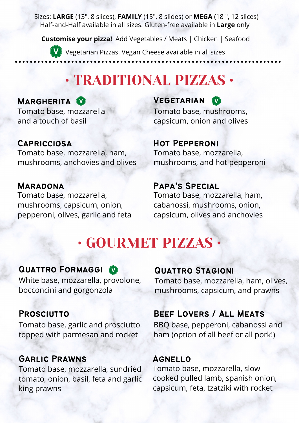Sizes: **LARGE** (13", 8 slices), **FAMILY** (15", 8 slides) or **MEGA** (18 ", 12 slices) Half-and-Half available in all sizes. Gluten-free available in **Large** only

**Customise your pizza!** Add Vegetables / Meats | Chicken | Seafood

**V** Vegetarian Pizzas. Vegan Cheese available in all sizes

## • TRADITIONAL PIZZAS •

### **MARGHERITA W**

Tomato base, mozzarella and a touch of basil

### **CAPRICCIOSA**

Tomato base, mozzarella, ham, mushrooms, anchovies and olives

### Maradona

Tomato base, mozzarella, mushrooms, capsicum, onion, pepperoni, olives, garlic and feta

**VEGETARIAN** Tomato base, mushrooms, capsicum, onion and olives

### Hot Pepperoni

Tomato base, mozzarella, mushrooms, and hot pepperoni

### Papa's Special

Tomato base, mozzarella, ham, cabanossi, mushrooms, onion, capsicum, olives and anchovies

## • GOURMET PIZZAS •

### QUATTRO FORMAGGI

White base, mozzarella, provolone, bocconcini and gorgonzola

### **PROSCIUTTO**

Tomato base, garlic and prosciutto topped with parmesan and rocket

### Garlic Prawns

Tomato base, mozzarella, sundried tomato, onion, basil, feta and garlic king prawns

#### Quattro Stagioni

Tomato base, mozzarella, ham, olives, mushrooms, capsicum, and prawns

### Beef Lovers / All Meats

BBQ base, pepperoni, cabanossi and ham (option of all beef or all pork!)

### **AGNELLO**

Tomato base, mozzarella, slow cooked pulled lamb, spanish onion, capsicum, feta, tzatziki with rocket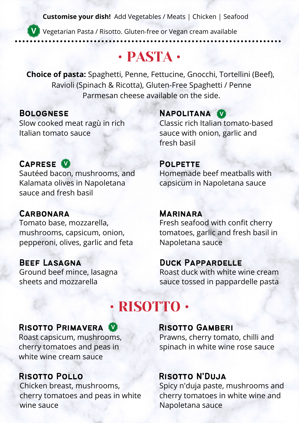**Customise your dish!** Add Vegetables / Meats | Chicken | Seafood

**V** Vegetarian Pasta / Risotto. Gluten-free or Vegan cream available

## • PASTA •

**Choice of pasta:** Spaghetti, Penne, Fettucine, Gnocchi, Tortellini (Beef), Ravioli (Spinach & Ricotta), Gluten-Free Spaghetti / Penne Parmesan cheese available on the side.

#### Bolognese Slow cooked meat ragù in rich Italian tomato sauce

### NAPOLITANA<sup>0</sup>

Classic rich Italian tomato-based sauce with onion, garlic and fresh basil

Homemade beef meatballs with

### CAPRESE<sup>V</sup>

Sautéed bacon, mushrooms, and Kalamata olives in Napoletana sauce and fresh basil

### **CARBONARA**

Tomato base, mozzarella, mushrooms, capsicum, onion, pepperoni, olives, garlic and feta

### Beef Lasagna

Ground beef mince, lasagna sheets and mozzarella

### capsicum in Napoletana sauce

**POLPETTE** 

#### **MARINARA**

Fresh seafood with confit cherry tomatoes, garlic and fresh basil in Napoletana sauce

### Duck Pappardelle

Roast duck with white wine cream sauce tossed in pappardelle pasta

## • RISOTTO •

### RISOTTO PRIMAVERA<sup><sup>1</sup></sup>

Roast capsicum, mushrooms, cherry tomatoes and peas in white wine cream sauce

### Risotto Pollo

Chicken breast, mushrooms, cherry tomatoes and peas in white wine sauce

#### Risotto Gamberi

Prawns, cherry tomato, chilli and spinach in white wine rose sauce

#### Risotto N'Duja

Spicy n'duja paste, mushrooms and cherry tomatoes in white wine and Napoletana sauce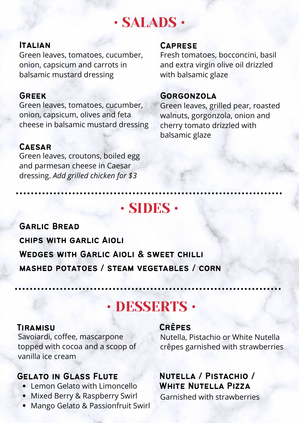## • SALADS •

#### **ITALIAN**

Green leaves, tomatoes, cucumber, onion, capsicum and carrots in balsamic mustard dressing

#### Greek

Green leaves, tomatoes, cucumber, onion, capsicum, olives and feta cheese in balsamic mustard dressing

#### **CAESAR**

Green leaves, croutons, boiled egg and parmesan cheese in Caesar dressing. *Add grilled chicken for \$3*

#### **CAPRESE**

Fresh tomatoes, bocconcini, basil and extra virgin olive oil drizzled with balsamic glaze

#### **GORGONZOLA**

Green leaves, grilled pear, roasted walnuts, gorgonzola, onion and cherry tomato drizzled with balsamic glaze

## • SIDES •

Garlic Bread chips with garlic Aioli Wedges with Garlic Aioli & sweet chilli mashed potatoes / steam vegetables / corn

## • DESSERTS •

#### **TIRAMISU**

Savoiardi, coffee, mascarpone topped with cocoa and a scoop of vanilla ice cream

### Gelato in Glass Flute

- Lemon Gelato with Limoncello
- Mixed Berry & Raspberry Swirl
- Mango Gelato & Passionfruit Swirl

#### Crêpes

Nutella, Pistachio or White Nutella crêpes garnished with strawberries

### Nutella / Pistachio / White Nutella Pizza

Garnished with strawberries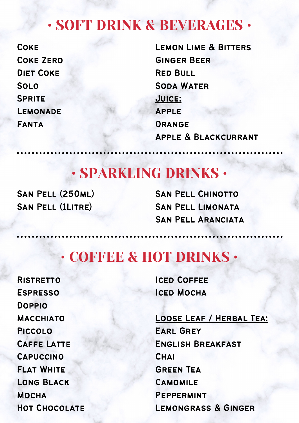## • SOFT DRINK & BEVERAGES •

**COKE** Coke Zero Diet Coke Solo **SPRITE LEMONADE** Fanta

Lemon Lime & Bitters Ginger Beer Red Bull Soda Water Juice: Apple **ORANGE** Apple & Blackcurrant

## • SPARKLING DRINKS •

San Pell (250ml) San Pell (1Litre)

San Pell Chinotto San Pell Limonata San Pell Aranciata

## • COFFEE & HOT DRINKS •

**RISTRETTO ESPRESSO** Doppio **MACCHIATO** Piccolo Caffe Latte **CAPUCCINO** Flat White Long Black **MOCHA** Hot Chocolate **ICED COFFEE** Iced Mocha

## Loose Leaf / Herbal Tea:

Earl Grey English Breakfast **CHAI** Green Tea **CAMOMILE PEPPERMINT** Lemongrass & Ginger